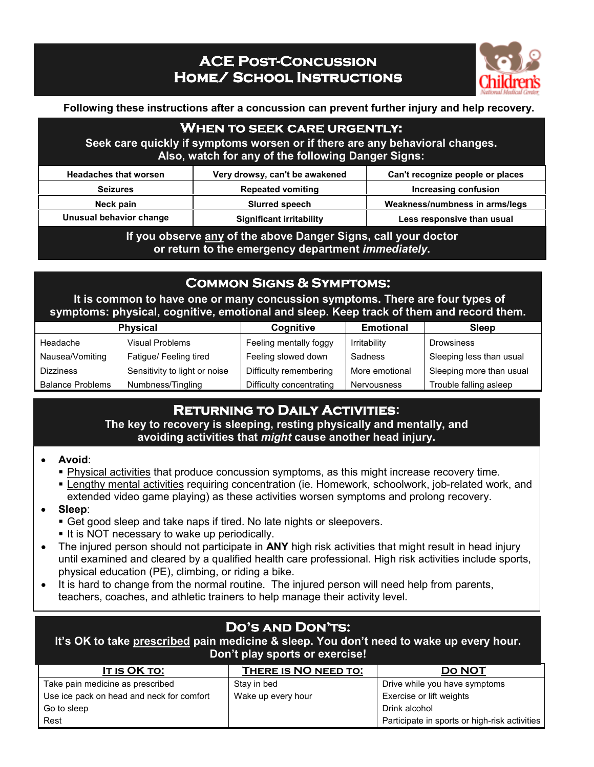# **ACE POST-CONCUSSION HOME/ SCHOOL INSTRUCTIONS**



**Following these instructions after a concussion can prevent further injury and help recovery.** 

### **When to seek care urgently**:

**Seek care quickly if symptoms worsen or if there are any behavioral changes. Also, watch for any of the following Danger Signs:**

| <b>Headaches that worsen</b> | Very drowsy, can't be awakened  | Can't recognize people or places |
|------------------------------|---------------------------------|----------------------------------|
| <b>Seizures</b>              | <b>Repeated vomiting</b>        | Increasing confusion             |
| Neck pain                    | <b>Slurred speech</b>           | Weakness/numbness in arms/legs   |
| Unusual behavior change      | <b>Significant irritability</b> | Less responsive than usual       |

**If you observe any of the above Danger Signs, call your doctor or return to the emergency department** *immediately***.**

### **Common Signs & Symptoms:**

 **It is common to have one or many concussion symptoms. There are four types of symptoms: physical, cognitive, emotional and sleep. Keep track of them and record them.** 

| <b>Physical</b>         |                               | Cognitive                | <b>Emotional</b> | <b>Sleep</b>             |
|-------------------------|-------------------------------|--------------------------|------------------|--------------------------|
| Headache                | <b>Visual Problems</b>        | Feeling mentally foggy   | Irritability     | <b>Drowsiness</b>        |
| Nausea/Vomiting         | Fatigue/ Feeling tired        | Feeling slowed down      | Sadness          | Sleeping less than usual |
| <b>Dizziness</b>        | Sensitivity to light or noise | Difficulty remembering   | More emotional   | Sleeping more than usual |
| <b>Balance Problems</b> | Numbness/Tingling             | Difficulty concentrating | Nervousness      | Trouble falling asleep   |

## **Returning to Daily Activities:**

**The key to recovery is sleeping, resting physically and mentally, and avoiding activities that** *might* **cause another head injury.** 

#### • **Avoid**:

- Physical activities that produce concussion symptoms, as this might increase recovery time.
- **Eangthy mental activities requiring concentration (ie. Homework, schoolwork, job-related work, and** extended video game playing) as these activities worsen symptoms and prolong recovery.
- **Sleep**:
	- Get good sleep and take naps if tired. No late nights or sleepovers.
	- It is NOT necessary to wake up periodically.
- The injured person should not participate in **ANY** high risk activities that might result in head injury until examined and cleared by a qualified health care professional. High risk activities include sports, physical education (PE), climbing, or riding a bike.
- It is hard to change from the normal routine. The injured person will need help from parents, teachers, coaches, and athletic trainers to help manage their activity level.

### **Do's and Don'ts:**

**It's OK to take prescribed pain medicine & sleep. You don't need to wake up every hour. Don't play sports or exercise!** 

| IT IS OK TO:                              | THERE IS NO NEED TO: | <b>DO NOT</b>                                 |
|-------------------------------------------|----------------------|-----------------------------------------------|
| Take pain medicine as prescribed          | Stay in bed          | Drive while you have symptoms                 |
| Use ice pack on head and neck for comfort | Wake up every hour   | Exercise or lift weights                      |
| Go to sleep                               |                      | Drink alcohol                                 |
| Rest                                      |                      | Participate in sports or high-risk activities |